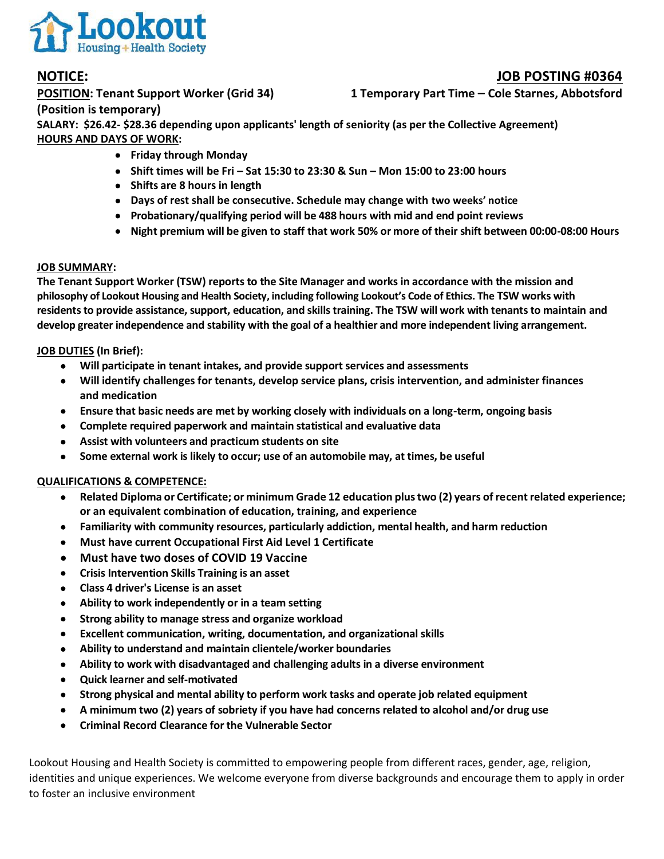

# **NOTICE: JOB POSTING #0364**

**POSITION: Tenant Support Worker (Grid 34) 1 Temporary Part Time – Cole Starnes, Abbotsford**

**(Position is temporary)**

**SALARY: \$26.42- \$28.36 depending upon applicants' length of seniority (as per the Collective Agreement) HOURS AND DAYS OF WORK:**

- **Friday through Monday**
- **Shift times will be Fri – Sat 15:30 to 23:30 & Sun – Mon 15:00 to 23:00 hours**
- **Shifts are 8 hours in length**
- **Days of rest shall be consecutive. Schedule may change with two weeks' notice**
- **Probationary/qualifying period will be 488 hours with mid and end point reviews**
- **Night premium will be given to staff that work 50% or more of their shift between 00:00-08:00 Hours**

# **JOB SUMMARY:**

**The Tenant Support Worker (TSW) reports to the Site Manager and works in accordance with the mission and philosophy of Lookout Housing and Health Society, including following Lookout's Code of Ethics. The TSW works with residents to provide assistance, support, education, and skills training. The TSW will work with tenants to maintain and develop greater independence and stability with the goal of a healthier and more independent living arrangement.**

# **JOB DUTIES (In Brief):**

- **Will participate in tenant intakes, and provide support services and assessments**
- **Will identify challenges for tenants, develop service plans, crisis intervention, and administer finances and medication**
- **Ensure that basic needs are met by working closely with individuals on a long-term, ongoing basis**
- **Complete required paperwork and maintain statistical and evaluative data**
- **Assist with volunteers and practicum students on site**
- **Some external work is likely to occur; use of an automobile may, at times, be useful**

## **QUALIFICATIONS & COMPETENCE:**

- **Related Diploma or Certificate; or minimum Grade 12 education plus two (2) years of recent related experience; or an equivalent combination of education, training, and experience**
- **Familiarity with community resources, particularly addiction, mental health, and harm reduction**
- **Must have current Occupational First Aid Level 1 Certificate**
- **Must have two doses of COVID 19 Vaccine**
- **Crisis Intervention Skills Training is an asset**
- **Class 4 driver's License is an asset**
- **Ability to work independently or in a team setting**
- **Strong ability to manage stress and organize workload**
- **Excellent communication, writing, documentation, and organizational skills**
- **Ability to understand and maintain clientele/worker boundaries**
- **Ability to work with disadvantaged and challenging adults in a diverse environment**
- **Quick learner and self-motivated**
- **Strong physical and mental ability to perform work tasks and operate job related equipment**
- **A minimum two (2) years of sobriety if you have had concerns related to alcohol and/or drug use**
- **Criminal Record Clearance for the Vulnerable Sector**

Lookout Housing and Health Society is committed to empowering people from different races, gender, age, religion, identities and unique experiences. We welcome everyone from diverse backgrounds and encourage them to apply in order to foster an inclusive environment